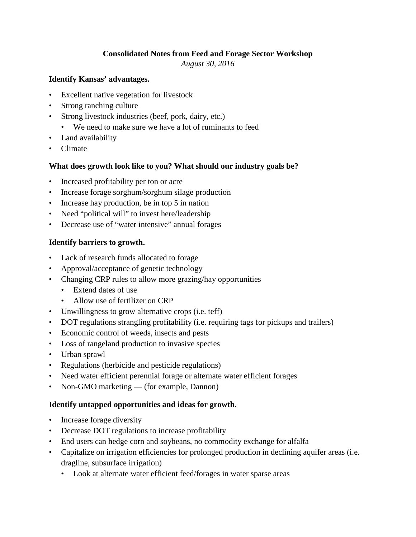# **Consolidated Notes from Feed and Forage Sector Workshop**

*August 30, 2016*

### **Identify Kansas' advantages.**

- Excellent native vegetation for livestock
- Strong ranching culture
- Strong livestock industries (beef, pork, dairy, etc.)
	- We need to make sure we have a lot of ruminants to feed
- Land availability
- Climate

## **What does growth look like to you? What should our industry goals be?**

- Increased profitability per ton or acre
- Increase forage sorghum/sorghum silage production
- Increase hay production, be in top 5 in nation
- Need "political will" to invest here/leadership
- Decrease use of "water intensive" annual forages

## **Identify barriers to growth.**

- Lack of research funds allocated to forage
- Approval/acceptance of genetic technology
- Changing CRP rules to allow more grazing/hay opportunities
	- Extend dates of use
	- Allow use of fertilizer on CRP
- Unwillingness to grow alternative crops (i.e. teff)
- DOT regulations strangling profitability (i.e. requiring tags for pickups and trailers)
- Economic control of weeds, insects and pests
- Loss of rangeland production to invasive species
- Urban sprawl
- Regulations (herbicide and pesticide regulations)
- Need water efficient perennial forage or alternate water efficient forages
- Non-GMO marketing (for example, Dannon)

## **Identify untapped opportunities and ideas for growth.**

- Increase forage diversity
- Decrease DOT regulations to increase profitability
- End users can hedge corn and soybeans, no commodity exchange for alfalfa
- Capitalize on irrigation efficiencies for prolonged production in declining aquifer areas (i.e. dragline, subsurface irrigation)
	- Look at alternate water efficient feed/forages in water sparse areas